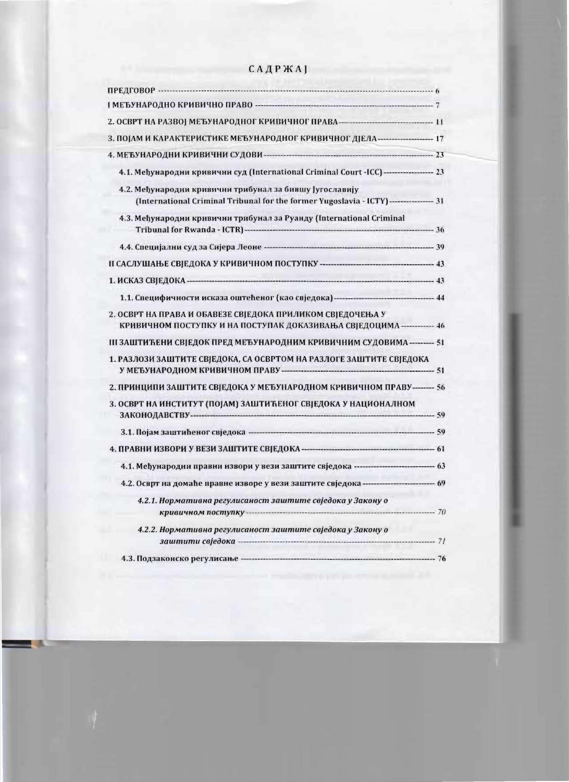|  |  | <b>САДРЖАЈ</b> |  |
|--|--|----------------|--|
|  |  |                |  |

| 3. ПОЈАМ И КАРАКТЕРИСТИКЕ МЕЂУНАРОДНОГ КРИВИЧНОГ ДЈЕЛА--------------------- 17                                                                   |  |
|--------------------------------------------------------------------------------------------------------------------------------------------------|--|
|                                                                                                                                                  |  |
| 4.1. Међународни кривични суд (International Criminal Court -ICC) ------------------ 23                                                          |  |
| 4.2. Међународни кривични трибунал за бившу Југославију<br>(International Criminal Tribunal for the former Yugoslavia - ICTY)---------------- 31 |  |
| 4.3. Међународни кривични трибунал за Руанду (International Criminal                                                                             |  |
|                                                                                                                                                  |  |
|                                                                                                                                                  |  |
|                                                                                                                                                  |  |
| 1.1. Специфичности исказа оштећеног (као свједока) ----------------------------------- 44                                                        |  |
| 2. ОСВРТ НА ПРАВА И ОБАВЕЗЕ СВЈЕДОКА ПРИЛИКОМ СВЈЕДОЧЕЊА У<br>КРИВИЧНОМ ПОСТУПКУ И НА ПОСТУПАК ДОКАЗИВАЊА СВЈЕДОЦИМА------------ 46              |  |
| III ЗАШТИЋЕНИ СВЈЕДОК ПРЕД МЕЂУНАРОДНИМ КРИВИЧНИМ СУДОВИМА -------- 51                                                                           |  |
| 1. РАЗЛОЗИ ЗАШТИТЕ СВЈЕДОКА, СА ОСВРТОМ НА РАЗЛОГЕ ЗАШТИТЕ СВЈЕДОКА                                                                              |  |
| 2. ПРИНЦИПИ ЗАШТИТЕ СВЈЕДОКА У МЕЂУНАРОДНОМ КРИВИЧНОМ ПРАВУ------- 56                                                                            |  |
| 3. ОСВРТ НА ИНСТИТУТ (ПОЈАМ) ЗАШТИЋЕНОГ СВЈЕДОКА У НАЦИОНАЛНОМ                                                                                   |  |
|                                                                                                                                                  |  |
|                                                                                                                                                  |  |
| 4.1. Међународни правни извори у вези заштите свједока ------------------------------ 63                                                         |  |
| 4.2. Осврт на домаће правне изворе у вези заштите свједока ----------------------------- 69                                                      |  |
| 4.2.1. Нормативна регулисаност заштите свједока у Закону о                                                                                       |  |
| 4.2.2. Нормативна регулисаност заштите свједока у Закону о                                                                                       |  |
|                                                                                                                                                  |  |
|                                                                                                                                                  |  |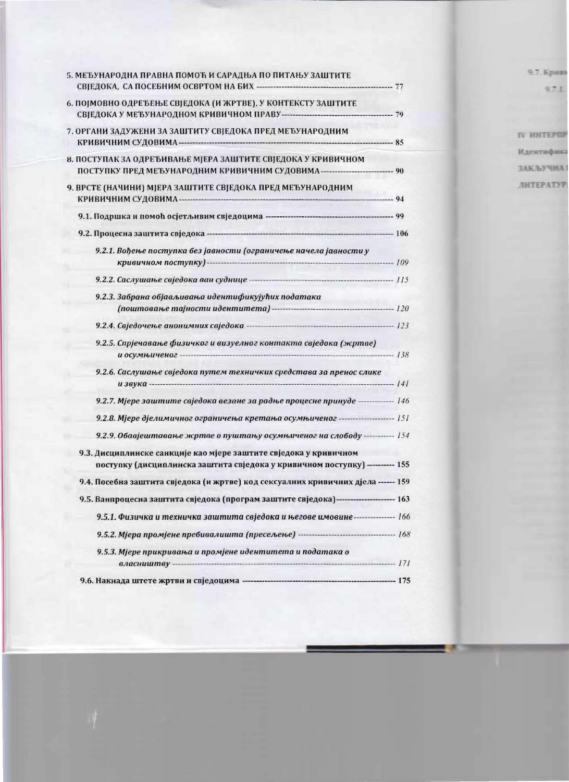| 5. МЕЂУНАРОДНА ПРАВНА ПОМОЋ И САРАДЊА ПО ПИТАЊУ ЗАШТИТЕ<br>СВЈЕДОКА, СА ПОСЕБНИМ ОСВРТОМ НА БИХ - ТЕЛЕВИЗОВИ ПО ТАВИ 77 |  |
|-------------------------------------------------------------------------------------------------------------------------|--|
| 6. ПОЈМОВНО ОДРЕЂЕЊЕ СВЈЕДОКА (И ЖРТВЕ), У КОНТЕКСТУ ЗАШТИТЕ                                                            |  |
|                                                                                                                         |  |
| 7. ОРГАНИ ЗАДУЖЕНИ ЗА ЗАШТИТУ СВЈЕДОКА ПРЕД МЕЂУНАРОДНИМ                                                                |  |
| 8. ПОСТУПАК ЗА ОДРЕЂИВАЊЕ МЈЕРА ЗАШТИТЕ СВЈЕДОКА У КРИВИЧНОМ                                                            |  |
| ПОСТУПКУ ПРЕД МЕЂУНАРОДНИМ КРИВИЧНИМ СУДОВИМА---------------------------- 90                                            |  |
| 9. ВРСТЕ (НАЧИНИ) МЈЕРА ЗАШТИТЕ СВЈЕДОКА ПРЕД МЕЂУНАРОДНИМ                                                              |  |
|                                                                                                                         |  |
|                                                                                                                         |  |
| 9.2.1. Вођење поступка без јавности (ограничење начела јавности у                                                       |  |
|                                                                                                                         |  |
|                                                                                                                         |  |
| 9.2.3. Забрана објављивања идентификујућих података                                                                     |  |
|                                                                                                                         |  |
|                                                                                                                         |  |
| 9.2.5. Спрјечавање физичког и визуелног контакта свједока (жртве)                                                       |  |
|                                                                                                                         |  |
| 9.2.6. Саслушање свједока путем техничких средстава за пренос слике                                                     |  |
|                                                                                                                         |  |
| 9.2.7. Мјере заштите свједока везане за радње процесне принуде ------------- 146                                        |  |
| 9.2.8. Мјере дјелимичног ограничења кретања осумњиченог ---------------------- 151                                      |  |
| 9.2.9. Обавјештавање жртве о пуштању осумњиченог на слободу ----------- 154                                             |  |
| 9.3. Дисциплинске санкције као мјере заштите свједока у кривичном                                                       |  |
| поступку (дисциплинска заштита свједока у кривичном поступку) --------- 155                                             |  |
| 9.4. Посебна заштита свједока (и жртве) код сексуалних кривичних дјела ------ 159                                       |  |
| 9.5. Ванпроцесна заштита свједока (програм заштите свједока)--------------------- 163                                   |  |
| 9.5.1. Физичка и техничка заштита свједока и његове имовине -------------- 166                                          |  |
|                                                                                                                         |  |
| 9.5.3. Мјере прикривања и промјене идентитета и података о                                                              |  |
|                                                                                                                         |  |
|                                                                                                                         |  |